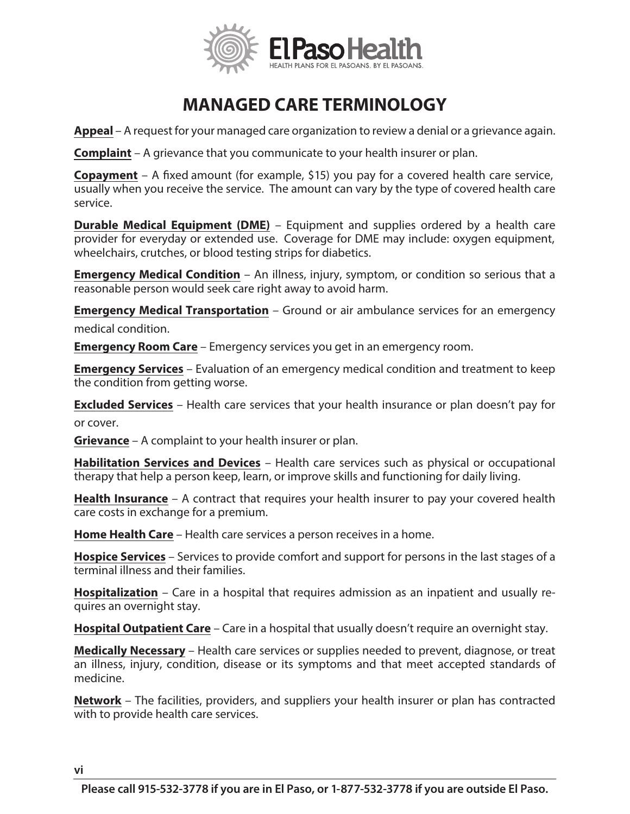

## **MANAGED CARE TERMINOLOGY**

**Appeal** – A request for your managed care organization to review a denial or a grievance again.

**Complaint** – A grievance that you communicate to your health insurer or plan.

**Copayment** – A fixed amount (for example, \$15) you pay for a covered health care service, usually when you receive the service. The amount can vary by the type of covered health care service.

**Durable Medical Equipment (DME)** – Equipment and supplies ordered by a health care provider for everyday or extended use. Coverage for DME may include: oxygen equipment, wheelchairs, crutches, or blood testing strips for diabetics.

**Emergency Medical Condition** – An illness, injury, symptom, or condition so serious that a reasonable person would seek care right away to avoid harm.

**Emergency Medical Transportation** – Ground or air ambulance services for an emergency medical condition.

**Emergency Room Care** – Emergency services you get in an emergency room.

**Emergency Services** – Evaluation of an emergency medical condition and treatment to keep the condition from getting worse.

**Excluded Services** – Health care services that your health insurance or plan doesn't pay for or cover.

**Grievance** – A complaint to your health insurer or plan.

**Habilitation Services and Devices** – Health care services such as physical or occupational therapy that help a person keep, learn, or improve skills and functioning for daily living.

**Health Insurance** – A contract that requires your health insurer to pay your covered health care costs in exchange for a premium.

**Home Health Care** – Health care services a person receives in a home.

**Hospice Services** – Services to provide comfort and support for persons in the last stages of a terminal illness and their families.

**Hospitalization** – Care in a hospital that requires admission as an inpatient and usually requires an overnight stay.

**Hospital Outpatient Care** – Care in a hospital that usually doesn't require an overnight stay.

**Medically Necessary** – Health care services or supplies needed to prevent, diagnose, or treat an illness, injury, condition, disease or its symptoms and that meet accepted standards of medicine.

**Network** – The facilities, providers, and suppliers your health insurer or plan has contracted with to provide health care services.